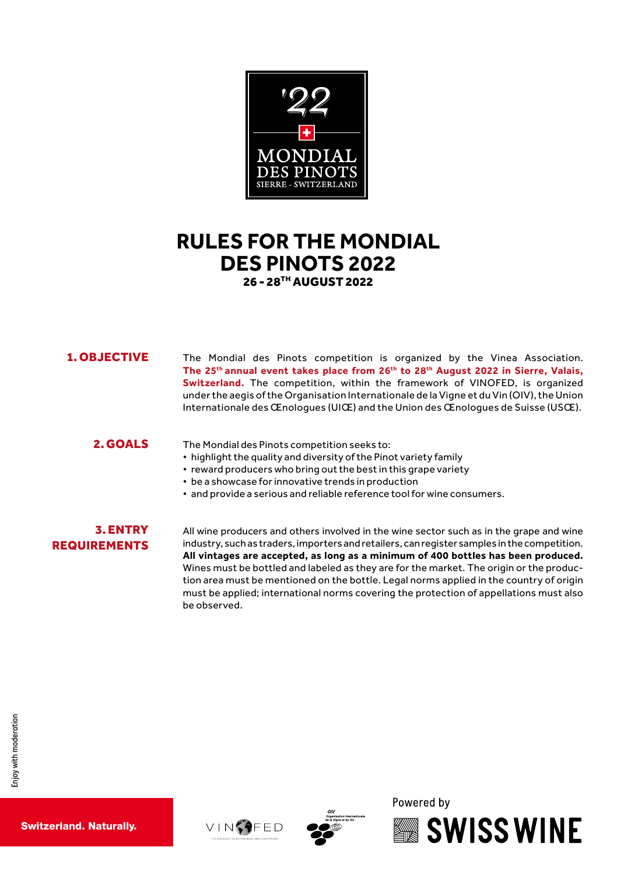

# **RULES FOR THE MONDIAL DES PINOTS 2022** 26 - 28TH AUGUST 2022

## 1. OBJECTIVE

The Mondial des Pinots competition is organized by the Vinea Association. **The 25th annual event takes place from 26th to 28th August 2022 in Sierre, Valais, Switzerland.** The competition, within the framework of VINOFED, is organized under the aegis of the Organisation Internationale de la Vigne et du Vin (OIV), the Union Internationale des Œnologues (UIŒ) and the Union des Œnologues de Suisse (USŒ).

#### 2. GOALS

The Mondial des Pinots competition seeks to:

- highlight the quality and diversity of the Pinot variety family
- reward producers who bring out the best in this grape variety
- be a showcase for innovative trends in production
- and provide a serious and reliable reference tool for wine consumers.

### 3. ENTRY REQUIREMENTS

All wine producers and others involved in the wine sector such as in the grape and wine industry, such as traders, importers and retailers, can register samples in the competition. **All vintages are accepted, as long as a minimum of 400 bottles has been produced.** Wines must be bottled and labeled as they are for the market. The origin or the production area must be mentioned on the bottle. Legal norms applied in the country of origin must be applied; international norms covering the protection of appellations must also be observed.





Powered by

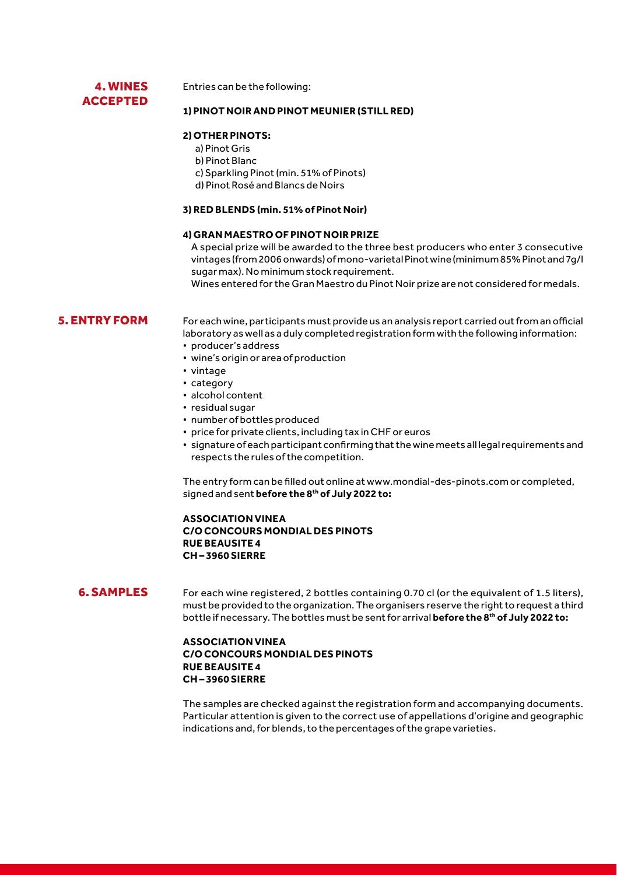# 4. WINES ACCEPTED

#### Entries can be the following:

#### **1) PINOT NOIR AND PINOT MEUNIER (STILL RED)**

#### **2) OTHER PINOTS:**

- a) Pinot Gris
- b) Pinot Blanc
- c) Sparkling Pinot (min. 51% of Pinots)
- d) Pinot Rosé and Blancs de Noirs

#### **3) RED BLENDS (min. 51% of Pinot Noir)**

#### **4) GRAN MAESTRO OF PINOT NOIR PRIZE**

A special prize will be awarded to the three best producers who enter 3 consecutive vintages (from 2006 onwards) of mono-varietal Pinot wine (minimum 85% Pinot and 7g/l sugar max). No minimum stock requirement.

Wines entered for the Gran Maestro du Pinot Noir prize are not considered for medals.

### 5. ENTRY FORM

For each wine, participants must provide us an analysis report carried out from an official laboratory as well as a duly completed registration form with the following information:

- producer's address
- wine's origin or area of production
- vintage
- category
- alcohol content
- residual sugar
- number of bottles produced
- price for private clients, including tax in CHF or euros
- signature of each participant confirming that the wine meets all legal requirements and respects the rules of the competition.

The entry form can be filled out online at www.mondial-des-pinots.com or completed, signed and sent **before the 8th of July 2022 to:**

#### **ASSOCIATION VINEA C/O CONCOURS MONDIAL DES PINOTS RUE BEAUSITE 4 CH – 3960 SIERRE**

### 6. SAMPLES

For each wine registered, 2 bottles containing 0.70 cl (or the equivalent of 1.5 liters), must be provided to the organization. The organisers reserve the right to request a third bottle if necessary. The bottles must be sent for arrival **before the 8th of July 2022 to:**

#### **ASSOCIATION VINEA C/O CONCOURS MONDIAL DES PINOTS RUE BEAUSITE 4 CH – 3960 SIERRE**

The samples are checked against the registration form and accompanying documents. Particular attention is given to the correct use of appellations d'origine and geographic indications and, for blends, to the percentages of the grape varieties.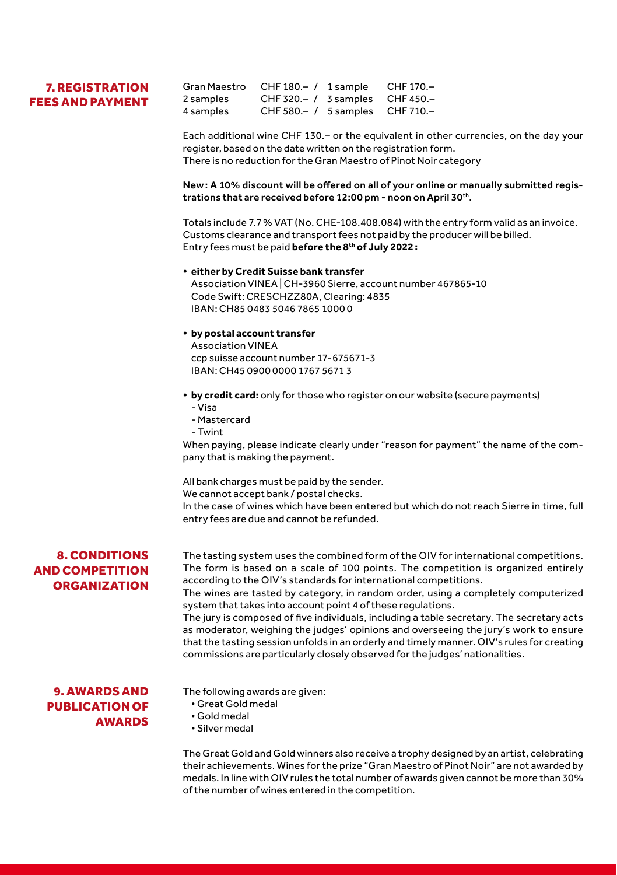# 7. REGISTRATION FEES AND PAYMENT

Gran Maestro CHF 180.– / 1 sample CHF 170.– 2 samples CHF 320.– / 3 samples CHF 450.– 4 samples CHF 580.– / 5 samples CHF 710.–

Each additional wine CHF 130.– or the equivalent in other currencies, on the day your register, based on the date written on the registration form. There is no reduction for the Gran Maestro of Pinot Noir category

New : A 10% discount will be offered on all of your online or manually submitted registrations that are received before 12:00 pm - noon on April 30th.

Totals include 7.7% VAT (No. CHE-108.408.084) with the entry form valid as an invoice. Customs clearance and transport fees not paid by the producer will be billed. Entry fees must be paid **before the 8th of July 2022:**

- **either by Credit Suisse bank transfer** Association VINEA | CH-3960 Sierre, account number 467865-10 Code Swift: CRESCHZZ80A, Clearing: 4835 IBAN: CH85 0483 5046 7865 1000 0
- **• by postal account transfer**

Association VINEA ccp suisse account number 17-675671-3 IBAN: CH45 0900 0000 1767 5671 3

- **• by credit card:** only for those who register on our website (secure payments)
	- Visa
	- Mastercard
	- Twint

When paying, please indicate clearly under "reason for payment" the name of the company that is making the payment.

All bank charges must be paid by the sender.

We cannot accept bank / postal checks.

In the case of wines which have been entered but which do not reach Sierre in time, full entry fees are due and cannot be refunded.

# 8. CONDITIONS AND COMPETITION ORGANIZATION

The tasting system uses the combined form of the OIV for international competitions. The form is based on a scale of 100 points. The competition is organized entirely according to the OIV's standards for international competitions.

The wines are tasted by category, in random order, using a completely computerized system that takes into account point 4 of these regulations.

The jury is composed of five individuals, including a table secretary. The secretary acts as moderator, weighing the judges' opinions and overseeing the jury's work to ensure that the tasting session unfolds in an orderly and timely manner. OIV's rules for creating commissions are particularly closely observed for the judges' nationalities.

# 9. AWARDS AND PUBLICATION OF AWARDS

The following awards are given:

- Great Gold medal
- Gold medal
- Silver medal

The Great Gold and Gold winners also receive a trophy designed by an artist, celebrating their achievements. Wines for the prize "Gran Maestro of Pinot Noir" are not awarded by medals. In line with OIV rules the total number of awards given cannot be more than 30% of the number of wines entered in the competition.